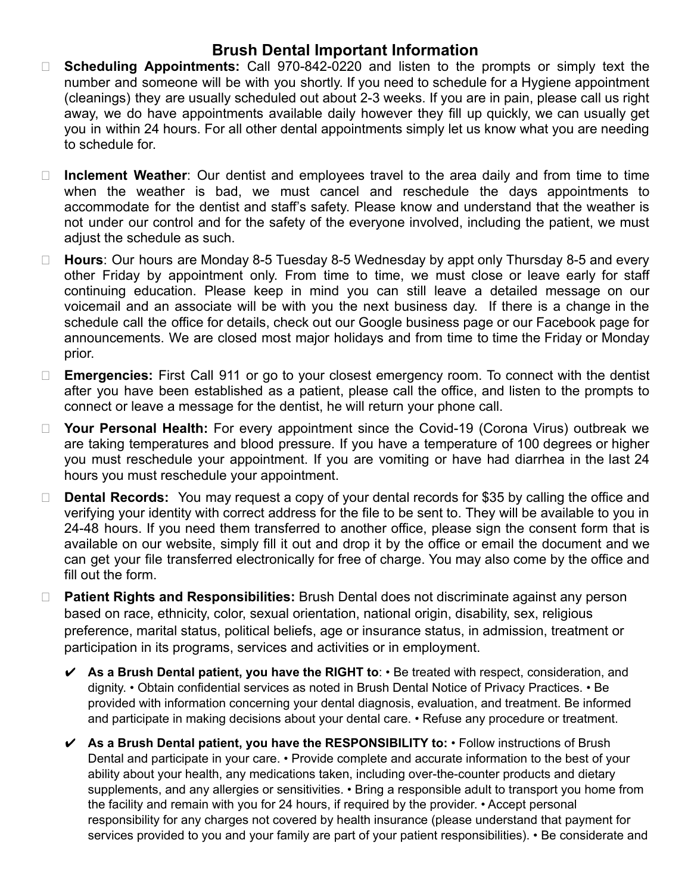## **Brush Dental Important Information**

- □ **Scheduling Appointments:** Call 970-842-0220 and listen to the prompts or simply text the number and someone will be with you shortly. If you need to schedule for a Hygiene appointment (cleanings) they are usually scheduled out about 2-3 weeks. If you are in pain, please call us right away, we do have appointments available daily however they fill up quickly, we can usually get you in within 24 hours. For all other dental appointments simply let us know what you are needing to schedule for.
- □ **Inclement Weather**: Our dentist and employees travel to the area daily and from time to time when the weather is bad, we must cancel and reschedule the days appointments to accommodate for the dentist and staff's safety. Please know and understand that the weather is not under our control and for the safety of the everyone involved, including the patient, we must adiust the schedule as such.
- ⮚ **Hours**: Our hours are Monday 8-5 Tuesday 8-5 Wednesday by appt only Thursday 8-5 and every other Friday by appointment only. From time to time, we must close or leave early for staff continuing education. Please keep in mind you can still leave a detailed message on our voicemail and an associate will be with you the next business day. If there is a change in the schedule call the office for details, check out our Google business page or our Facebook page for announcements. We are closed most major holidays and from time to time the Friday or Monday prior.
- □ **Emergencies:** First Call 911 or go to your closest emergency room. To connect with the dentist after you have been established as a patient, please call the office, and listen to the prompts to connect or leave a message for the dentist, he will return your phone call.
- □ Your Personal Health: For every appointment since the Covid-19 (Corona Virus) outbreak we are taking temperatures and blood pressure. If you have a temperature of 100 degrees or higher you must reschedule your appointment. If you are vomiting or have had diarrhea in the last 24 hours you must reschedule your appointment.
- □ **Dental Records:** You may request a copy of your dental records for \$35 by calling the office and verifying your identity with correct address for the file to be sent to. They will be available to you in 24-48 hours. If you need them transferred to another office, please sign the consent form that is available on our website, simply fill it out and drop it by the office or email the document and we can get your file transferred electronically for free of charge. You may also come by the office and fill out the form.
- □ **Patient Rights and Responsibilities:** Brush Dental does not discriminate against any person based on race, ethnicity, color, sexual orientation, national origin, disability, sex, religious preference, marital status, political beliefs, age or insurance status, in admission, treatment or participation in its programs, services and activities or in employment.
	- ✔ **As a Brush Dental patient, you have the RIGHT to**: Be treated with respect, consideration, and dignity. • Obtain confidential services as noted in Brush Dental Notice of Privacy Practices. • Be provided with information concerning your dental diagnosis, evaluation, and treatment. Be informed and participate in making decisions about your dental care. • Refuse any procedure or treatment.
	- ✔ **As a Brush Dental patient, you have the RESPONSIBILITY to:** Follow instructions of Brush Dental and participate in your care. • Provide complete and accurate information to the best of your ability about your health, any medications taken, including over-the-counter products and dietary supplements, and any allergies or sensitivities. • Bring a responsible adult to transport you home from the facility and remain with you for 24 hours, if required by the provider. • Accept personal responsibility for any charges not covered by health insurance (please understand that payment for services provided to you and your family are part of your patient responsibilities). • Be considerate and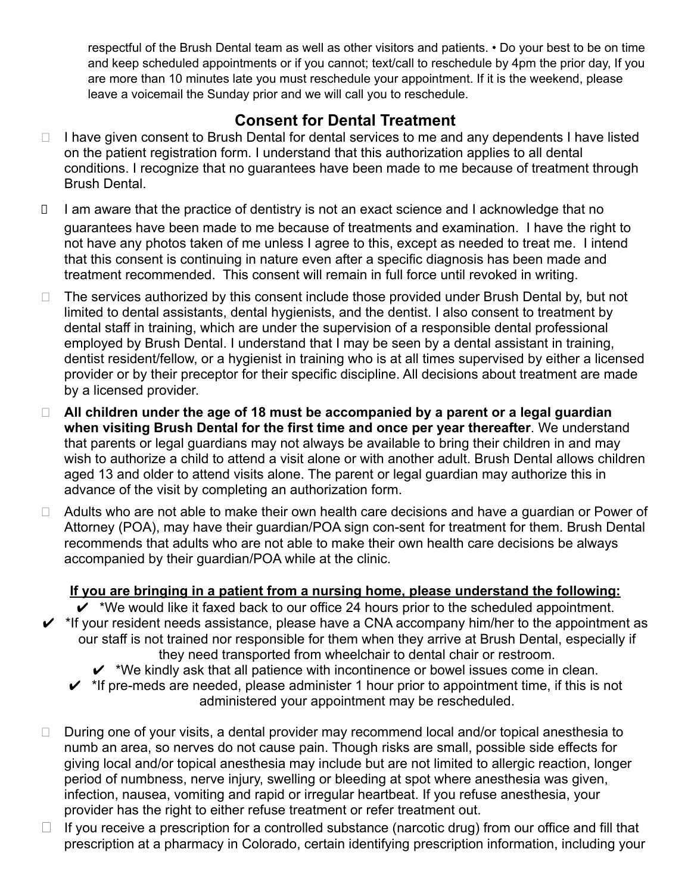respectful of the Brush Dental team as well as other visitors and patients. • Do your best to be on time and keep scheduled appointments or if you cannot; text/call to reschedule by 4pm the prior day, If you are more than 10 minutes late you must reschedule your appointment. If it is the weekend, please leave a voicemail the Sunday prior and we will call you to reschedule.

# **Consent for Dental Treatment**

- □ I have given consent to Brush Dental for dental services to me and any dependents I have listed on the patient registration form. I understand that this authorization applies to all dental conditions. I recognize that no guarantees have been made to me because of treatment through Brush Dental.
- □ I am aware that the practice of dentistry is not an exact science and I acknowledge that no guarantees have been made to me because of treatments and examination. I have the right to not have any photos taken of me unless I agree to this, except as needed to treat me. I intend that this consent is continuing in nature even after a specific diagnosis has been made and treatment recommended. This consent will remain in full force until revoked in writing.
- □ The services authorized by this consent include those provided under Brush Dental by, but not limited to dental assistants, dental hygienists, and the dentist. I also consent to treatment by dental staff in training, which are under the supervision of a responsible dental professional employed by Brush Dental. I understand that I may be seen by a dental assistant in training, dentist resident/fellow, or a hygienist in training who is at all times supervised by either a licensed provider or by their preceptor for their specific discipline. All decisions about treatment are made by a licensed provider.
- ⮚ **All children under the age of 18 must be accompanied by a parent or a legal guardian when visiting Brush Dental for the first time and once per year thereafter**. We understand that parents or legal guardians may not always be available to bring their children in and may wish to authorize a child to attend a visit alone or with another adult. Brush Dental allows children aged 13 and older to attend visits alone. The parent or legal guardian may authorize this in advance of the visit by completing an authorization form.
- $\Box$  Adults who are not able to make their own health care decisions and have a guardian or Power of Attorney (POA), may have their guardian/POA sign con-sent for treatment for them. Brush Dental recommends that adults who are not able to make their own health care decisions be always accompanied by their guardian/POA while at the clinic.

### **If you are bringing in a patient from a nursing home, please understand the following:**

 $\checkmark$  \*We would like it faxed back to our office 24 hours prior to the scheduled appointment.

- $\checkmark$  \*If your resident needs assistance, please have a CNA accompany him/her to the appointment as our staff is not trained nor responsible for them when they arrive at Brush Dental, especially if they need transported from wheelchair to dental chair or restroom.
	- $\checkmark$  \*We kindly ask that all patience with incontinence or bowel issues come in clean.
	- $\checkmark$  \*If pre-meds are needed, please administer 1 hour prior to appointment time, if this is not administered your appointment may be rescheduled.
- □ During one of your visits, a dental provider may recommend local and/or topical anesthesia to numb an area, so nerves do not cause pain. Though risks are small, possible side effects for giving local and/or topical anesthesia may include but are not limited to allergic reaction, longer period of numbness, nerve injury, swelling or bleeding at spot where anesthesia was given, infection, nausea, vomiting and rapid or irregular heartbeat. If you refuse anesthesia, your provider has the right to either refuse treatment or refer treatment out.
- □ If you receive a prescription for a controlled substance (narcotic drug) from our office and fill that prescription at a pharmacy in Colorado, certain identifying prescription information, including your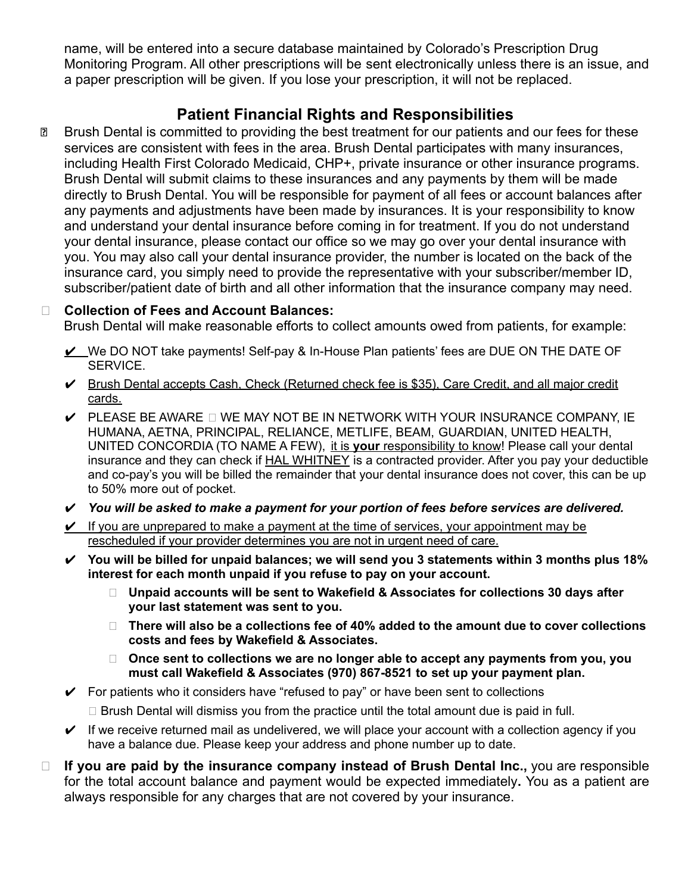name, will be entered into a secure database maintained by Colorado's Prescription Drug Monitoring Program. All other prescriptions will be sent electronically unless there is an issue, and a paper prescription will be given. If you lose your prescription, it will not be replaced.

## **Patient Financial Rights and Responsibilities**

services are consistent with fees in the area. Brush Dental participates with many insurances, including Health First Colorado Medicaid, CHP+, private insurance or other insurance programs. Brush Dental will submit claims to these insurances and any payments by them will be made directly to Brush Dental. You will be responsible for payment of all fees or account balances after any payments and adjustments have been made by insurances. It is your responsibility to know and understand your dental insurance before coming in for treatment. If you do not understand your dental insurance, please contact our office so we may go over your dental insurance with you. You may also call your dental insurance provider, the number is located on the back of the insurance card, you simply need to provide the representative with your subscriber/member ID, subscriber/patient date of birth and all other information that the insurance company may need.

### ⮚ **Collection of Fees and Account Balances:**

Brush Dental will make reasonable efforts to collect amounts owed from patients, for example:

- ✔ We DO NOT take payments! Self-pay & In-House Plan patients' fees are DUE ON THE DATE OF SERVICE.
- ✔ Brush Dental accepts Cash, Check (Returned check fee is \$35), Care Credit, and all major credit cards.
- $\checkmark$  PLEASE BE AWARE  $\Box$  WE MAY NOT BE IN NETWORK WITH YOUR INSURANCE COMPANY. IE HUMANA, AETNA, PRINCIPAL, RELIANCE, METLIFE, BEAM, GUARDIAN, UNITED HEALTH, UNITED CONCORDIA (TO NAME A FEW), it is **your** responsibility to know! Please call your dental insurance and they can check if HAL WHITNEY is a contracted provider. After you pay your deductible and co-pay's you will be billed the remainder that your dental insurance does not cover, this can be up to 50% more out of pocket.
- ✔ *You will be asked to make a payment for your portion of fees before services are delivered.*
- $\vee$  If you are unprepared to make a payment at the time of services, your appointment may be rescheduled if your provider determines you are not in urgent need of care.
- ✔ **You will be billed for unpaid balances; we will send you 3 statements within 3 months plus 18% interest for each month unpaid if you refuse to pay on your account.**
	- **⮚ Unpaid accounts will be sent to Wakefield & Associates for collections 30 days after your last statement was sent to you.**
	- **⮚ There will also be a collections fee of 40% added to the amount due to cover collections costs and fees by Wakefield & Associates.**
	- **⮚ Once sent to collections we are no longer able to accept any payments from you, you must call Wakefield & Associates (970) 867-8521 to set up your payment plan.**
- $\checkmark$  For patients who it considers have "refused to pay" or have been sent to collections
	- $\Box$  Brush Dental will dismiss you from the practice until the total amount due is paid in full.
- $\vee$  If we receive returned mail as undelivered, we will place your account with a collection agency if you have a balance due. Please keep your address and phone number up to date.
- ⮚ **If you are paid by the insurance company instead of Brush Dental Inc.,** you are responsible for the total account balance and payment would be expected immediately**.** You as a patient are always responsible for any charges that are not covered by your insurance.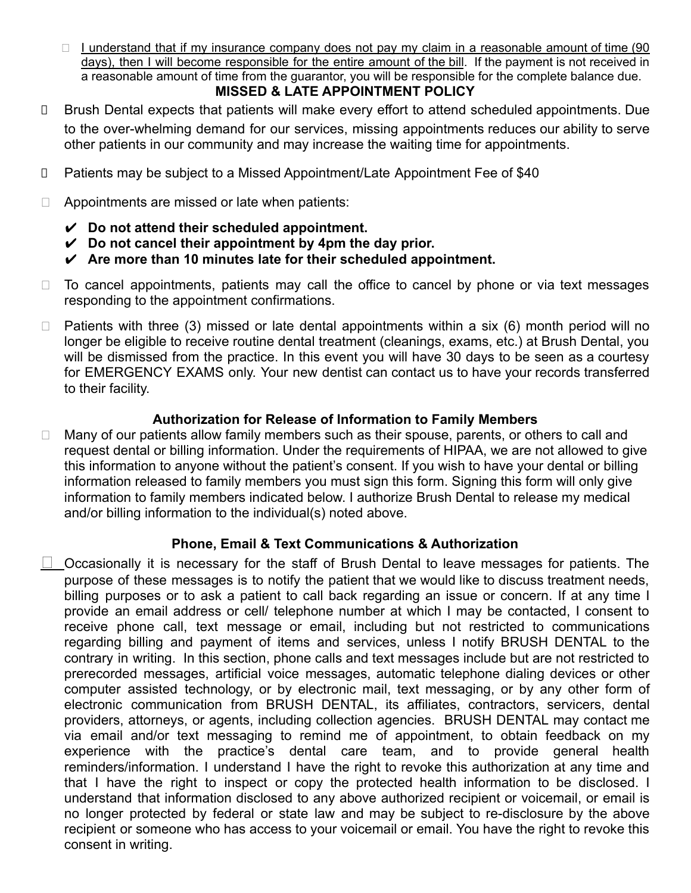$\Box$  I understand that if my insurance company does not pay my claim in a reasonable amount of time (90 days), then I will become responsible for the entire amount of the bill. If the payment is not received in a reasonable amount of time from the guarantor, you will be responsible for the complete balance due.

## **MISSED & LATE APPOINTMENT POLICY**

- ⮚ Brush Dental expects that patients will make every effort to attend scheduled appointments. Due to the over-whelming demand for our services, missing appointments reduces our ability to serve other patients in our community and may increase the waiting time for appointments.
- □ Patients may be subject to a Missed Appointment/Late Appointment Fee of \$40
- $\Box$  Appointments are missed or late when patients:
	- ✔ **Do not attend their scheduled appointment.**
	- ✔ **Do not cancel their appointment by 4pm the day prior.**
	- ✔ **Are more than 10 minutes late for their scheduled appointment.**
- $\Box$  To cancel appointments, patients may call the office to cancel by phone or via text messages responding to the appointment confirmations.
- $\Box$  Patients with three (3) missed or late dental appointments within a six (6) month period will no longer be eligible to receive routine dental treatment (cleanings, exams, etc.) at Brush Dental, you will be dismissed from the practice. In this event you will have 30 days to be seen as a courtesy for EMERGENCY EXAMS only. Your new dentist can contact us to have your records transferred to their facility.

### **Authorization for Release of Information to Family Members**

□ Many of our patients allow family members such as their spouse, parents, or others to call and request dental or billing information. Under the requirements of HIPAA, we are not allowed to give this information to anyone without the patient's consent. If you wish to have your dental or billing information released to family members you must sign this form. Signing this form will only give information to family members indicated below. I authorize Brush Dental to release my medical and/or billing information to the individual(s) noted above.

### **Phone, Email & Text Communications & Authorization**

**⮚** Occasionally it is necessary for the staff of Brush Dental to leave messages for patients. The purpose of these messages is to notify the patient that we would like to discuss treatment needs, billing purposes or to ask a patient to call back regarding an issue or concern. If at any time I provide an email address or cell/ telephone number at which I may be contacted, I consent to receive phone call, text message or email, including but not restricted to communications regarding billing and payment of items and services, unless I notify BRUSH DENTAL to the contrary in writing. In this section, phone calls and text messages include but are not restricted to prerecorded messages, artificial voice messages, automatic telephone dialing devices or other computer assisted technology, or by electronic mail, text messaging, or by any other form of electronic communication from BRUSH DENTAL, its affiliates, contractors, servicers, dental providers, attorneys, or agents, including collection agencies. BRUSH DENTAL may contact me via email and/or text messaging to remind me of appointment, to obtain feedback on my experience with the practice's dental care team, and to provide general health reminders/information. I understand I have the right to revoke this authorization at any time and that I have the right to inspect or copy the protected health information to be disclosed. I understand that information disclosed to any above authorized recipient or voicemail, or email is no longer protected by federal or state law and may be subject to re-disclosure by the above recipient or someone who has access to your voicemail or email. You have the right to revoke this consent in writing.